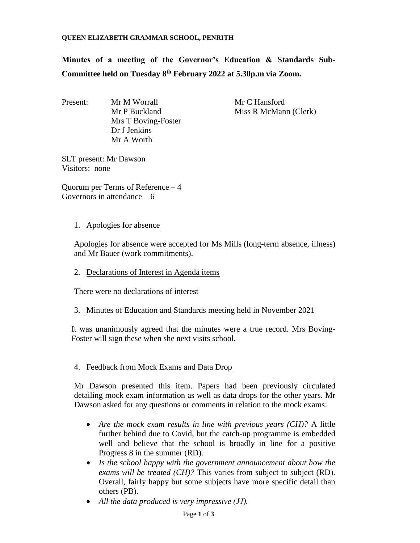**Minutes of a meeting of the Governor's Education & Standards Sub-Committee held on Tuesday 8 th February 2022 at 5.30p.m via Zoom.**

Present: Mr M Worrall Mr C Hansford Mrs T Boving-Foster Dr J Jenkins Mr A Worth

Mr P Buckland Miss R McMann (Clerk)

SLT present: Mr Dawson Visitors: none

Quorum per Terms of Reference – 4 Governors in attendance  $-6$ 

1. Apologies for absence

Apologies for absence were accepted for Ms Mills (long-term absence, illness) and Mr Bauer (work commitments).

2. Declarations of Interest in Agenda items

There were no declarations of interest

3. Minutes of Education and Standards meeting held in November 2021

It was unanimously agreed that the minutes were a true record. Mrs Boving-Foster will sign these when she next visits school.

4. Feedback from Mock Exams and Data Drop

Mr Dawson presented this item. Papers had been previously circulated detailing mock exam information as well as data drops for the other years. Mr Dawson asked for any questions or comments in relation to the mock exams:

- *Are the mock exam results in line with previous years (CH)?* A little further behind due to Covid, but the catch-up programme is embedded well and believe that the school is broadly in line for a positive Progress 8 in the summer (RD).
- *Is the school happy with the government announcement about how the exams will be treated (CH)?* This varies from subject to subject (RD). Overall, fairly happy but some subjects have more specific detail than others (PB).
- *All the data produced is very impressive (JJ).*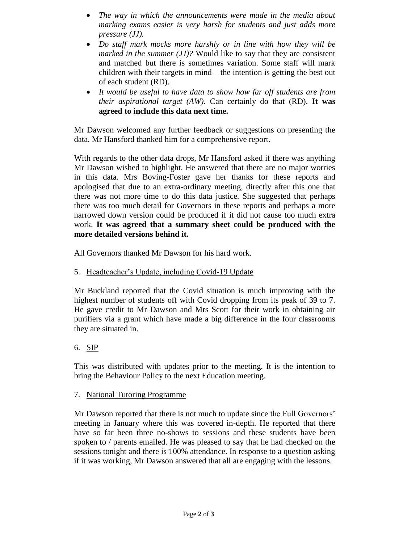- *The way in which the announcements were made in the media about marking exams easier is very harsh for students and just adds more pressure (JJ).*
- *Do staff mark mocks more harshly or in line with how they will be marked in the summer (JJ)?* Would like to say that they are consistent and matched but there is sometimes variation. Some staff will mark children with their targets in mind – the intention is getting the best out of each student (RD).
- *It would be useful to have data to show how far off students are from their aspirational target (AW).* Can certainly do that (RD). **It was agreed to include this data next time.**

Mr Dawson welcomed any further feedback or suggestions on presenting the data. Mr Hansford thanked him for a comprehensive report.

With regards to the other data drops, Mr Hansford asked if there was anything Mr Dawson wished to highlight. He answered that there are no major worries in this data. Mrs Boving-Foster gave her thanks for these reports and apologised that due to an extra-ordinary meeting, directly after this one that there was not more time to do this data justice. She suggested that perhaps there was too much detail for Governors in these reports and perhaps a more narrowed down version could be produced if it did not cause too much extra work. **It was agreed that a summary sheet could be produced with the more detailed versions behind it.** 

All Governors thanked Mr Dawson for his hard work.

5. Headteacher's Update, including Covid-19 Update

Mr Buckland reported that the Covid situation is much improving with the highest number of students off with Covid dropping from its peak of 39 to 7. He gave credit to Mr Dawson and Mrs Scott for their work in obtaining air purifiers via a grant which have made a big difference in the four classrooms they are situated in.

## 6. SIP

This was distributed with updates prior to the meeting. It is the intention to bring the Behaviour Policy to the next Education meeting.

## 7. National Tutoring Programme

Mr Dawson reported that there is not much to update since the Full Governors' meeting in January where this was covered in-depth. He reported that there have so far been three no-shows to sessions and these students have been spoken to / parents emailed. He was pleased to say that he had checked on the sessions tonight and there is 100% attendance. In response to a question asking if it was working, Mr Dawson answered that all are engaging with the lessons.